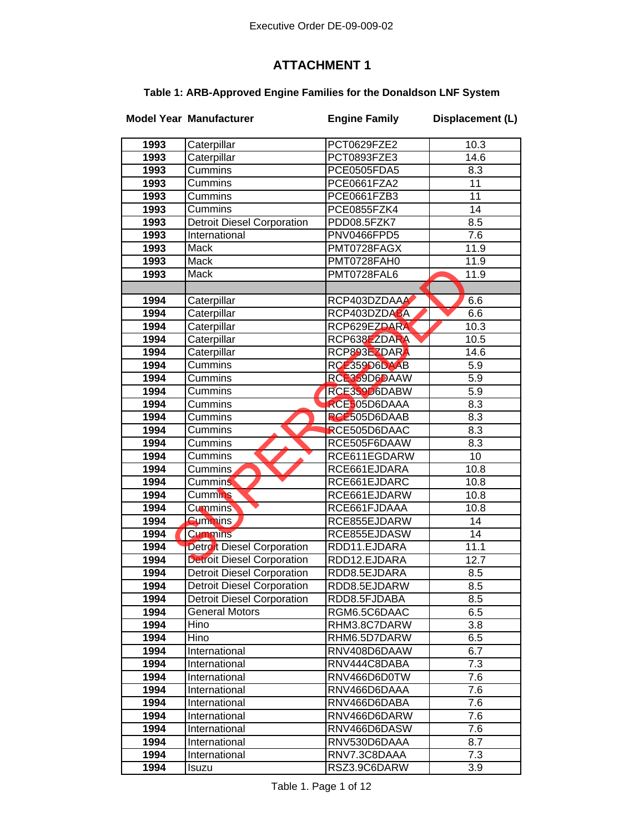## **ATTACHMENT 1**

## **Table 1: ARB-Approved Engine Families for the Donaldson LNF System**

|              | <b>Model Year Manufacturer</b>    | <b>Engine Family</b>         | Displacement (L) |
|--------------|-----------------------------------|------------------------------|------------------|
| 1993         | Caterpillar                       | PCT0629FZE2                  | 10.3             |
| 1993         | Caterpillar                       | PCT0893FZE3                  | 14.6             |
| 1993         | Cummins                           | PCE0505FDA5                  | 8.3              |
| 1993         | Cummins                           | PCE0661FZA2                  | 11               |
| 1993         | Cummins                           | PCE0661FZB3                  | $\overline{11}$  |
| 1993         | Cummins                           | PCE0855FZK4                  | 14               |
| 1993         | <b>Detroit Diesel Corporation</b> | PDD08.5FZK7                  | 8.5              |
| 1993         | International                     | PNV0466FPD5                  | 7.6              |
| 1993         | Mack                              | PMT0728FAGX                  | 11.9             |
| 1993         | Mack                              | PMT0728FAH0                  | 11.9             |
| 1993         | Mack                              | PMT0728FAL6                  | 11.9             |
|              |                                   |                              |                  |
| 1994         | Caterpillar                       | RCP403DZDAAA                 | 6.6              |
| 1994         | Caterpillar                       | RCP403DZDABA                 | 6.6              |
| 1994         | Caterpillar                       | RCP629EZDARA                 | 10.3             |
| 1994         | Caterpillar                       | RCP638EZDARA                 | 10.5             |
|              |                                   | RCP893EZDARA                 | 14.6             |
| 1994         | Caterpillar<br>Cummins            |                              |                  |
| 1994         |                                   | RCE359D6DAAB                 | 5.9              |
| 1994         | Cummins                           | RCE359D6DAAW                 | 5.9              |
| 1994<br>1994 | Cummins<br>Cummins                | RCE359D6DABW                 | 5.9<br>8.3       |
|              |                                   | RCE505D6DAAA                 |                  |
| 1994<br>1994 | Cummins<br>Cummins                | RCE505D6DAAB<br>RCE505D6DAAC | 8.3<br>8.3       |
| 1994         | Cummins                           | RCE505F6DAAW                 | 8.3              |
| 1994         | Cummins                           | RCE611EGDARW                 | 10               |
| 1994         | Cummins                           | RCE661EJDARA                 | 10.8             |
| 1994         | <b>Cummins</b>                    | RCE661EJDARC                 | 10.8             |
| 1994         | <b>Cummins</b>                    | RCE661EJDARW                 | 10.8             |
| 1994         | <b>Cummins</b>                    | RCE661FJDAAA                 | 10.8             |
| 1994         | <b>Cummins</b>                    | RCE855EJDARW                 | 14               |
| 1994         | <b>Cummins</b>                    | RCE855EJDASW                 | 14               |
| 1994         | Detroit Diesel Corporation        | RDD11.EJDARA                 | 11.1             |
| 1994         | <b>Detroit Diesel Corporation</b> | RDD12.EJDARA                 | 12.7             |
| 1994         | <b>Detroit Diesel Corporation</b> | RDD8.5EJDARA                 | 8.5              |
| 1994         | <b>Detroit Diesel Corporation</b> | RDD8.5EJDARW                 | 8.5              |
| 1994         | <b>Detroit Diesel Corporation</b> | RDD8.5FJDABA                 | 8.5              |
| 1994         | <b>General Motors</b>             | RGM6.5C6DAAC                 | 6.5              |
| 1994         | Hino                              | RHM3.8C7DARW                 | 3.8              |
| 1994         | Hino                              | RHM6.5D7DARW                 | 6.5              |
| 1994         | International                     | RNV408D6DAAW                 | 6.7              |
| 1994         | International                     | RNV444C8DABA                 | 7.3              |
| 1994         | International                     | RNV466D6D0TW                 | 7.6              |
| 1994         | International                     | RNV466D6DAAA                 | 7.6              |
| 1994         | International                     | RNV466D6DABA                 | 7.6              |
| 1994         | International                     | RNV466D6DARW                 | 7.6              |
| 1994         | International                     | RNV466D6DASW                 | 7.6              |
| 1994         | International                     | RNV530D6DAAA                 | 8.7              |
| 1994         | <b>International</b>              | RNV7.3C8DAAA                 | 7.3              |
| 1994         | Isuzu                             | RSZ3.9C6DARW                 | $\overline{3.9}$ |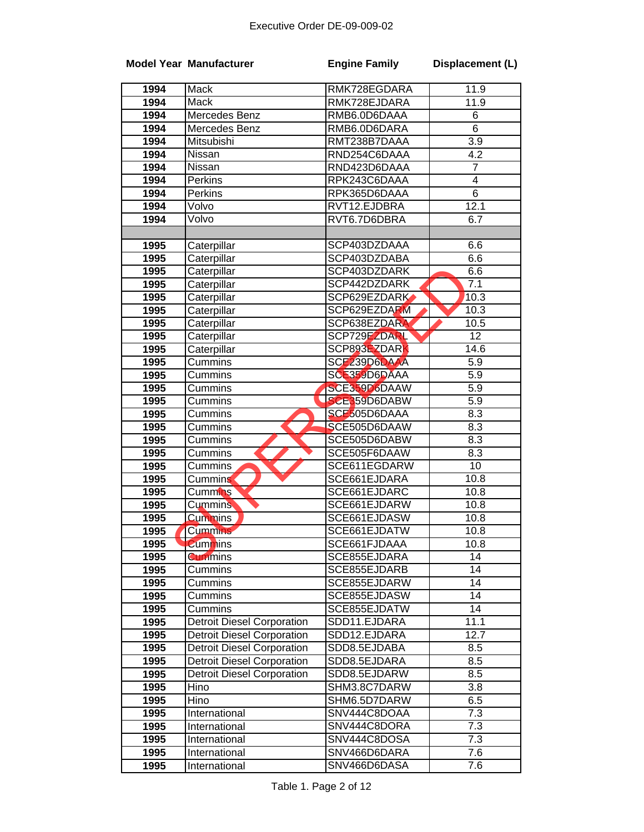|              | <b>Model Year Manufacturer</b>    | <b>Engine Family</b>         | Displacement (L)        |
|--------------|-----------------------------------|------------------------------|-------------------------|
| 1994         | Mack                              | RMK728EGDARA                 | 11.9                    |
| 1994         | <b>Mack</b>                       | RMK728EJDARA                 | 11.9                    |
| 1994         | Mercedes Benz                     | RMB6.0D6DAAA                 | 6                       |
| 1994         | Mercedes Benz                     | RMB6.0D6DARA                 | $\overline{6}$          |
| 1994         | Mitsubishi                        | RMT238B7DAAA                 | $\overline{3.9}$        |
| 1994         | Nissan                            | RND254C6DAAA                 | 4.2                     |
| 1994         | Nissan                            | RND423D6DAAA                 | $\overline{7}$          |
| 1994         | Perkins                           | RPK243C6DAAA                 | $\overline{\mathbf{4}}$ |
| 1994         | Perkins                           | RPK365D6DAAA                 | $\overline{6}$          |
| 1994         | Volvo                             | RVT12.EJDBRA                 | 12.1                    |
| 1994         | Volvo                             | RVT6.7D6DBRA                 | 6.7                     |
|              |                                   |                              |                         |
| 1995         | Caterpillar                       | SCP403DZDAAA                 | 6.6                     |
| 1995         | Caterpillar                       | SCP403DZDABA                 | 6.6                     |
| 1995         | Caterpillar                       | SCP403DZDARK                 | 6.6                     |
| 1995         | Caterpillar                       | SCP442DZDARK                 | $7.\overline{1}$        |
| 1995         | Caterpillar                       | SCP629EZDARK                 | 10.3                    |
| 1995         | Caterpillar                       | SCP629EZDARM                 | 10.3                    |
| 1995         | Caterpillar                       | SCP638EZDARA                 | 10.5                    |
| 1995         | Caterpillar                       | SCP729EZDARL                 | $\overline{12}$         |
| 1995         | Caterpillar                       | SCP893EZDARK                 | 14.6                    |
| 1995         | Cummins                           | SCE239D6DAAA                 | 5.9                     |
| 1995         | Cummins                           | SCE359D6DAAA                 | 5.9                     |
| 1995         | Cummins                           | SCE359D6DAAW                 | $\overline{5.9}$        |
| 1995         | Cummins                           | SCE359D6DABW                 | $\overline{5.9}$        |
| 1995         | Cummins                           | SCE505D6DAAA                 | 8.3                     |
| 1995         | Cummins                           | SCE505D6DAAW                 | 8.3                     |
| 1995         | Cummins                           | SCE505D6DABW                 | 8.3                     |
| 1995         | Cummins<br>Cummins                | SCE505F6DAAW<br>SCE611EGDARW | 8.3<br>10               |
| 1995<br>1995 | <b>Cummins</b>                    | SCE661EJDARA                 | 10.8                    |
| 1995         | <b>Cummins</b>                    | SCE661EJDARC                 | 10.8                    |
| 1995         | Cummins                           | SCE661EJDARW                 | 10.8                    |
| 1995         | <b>Cummins</b>                    | SCE661EJDASW                 | 10.8                    |
| 1995         | Cummins                           | SCE661EJDATW                 | 10.8                    |
| 1995         | <b>Cummins</b>                    | SCE661FJDAAA                 | 10.8                    |
| 1995         | <b>Cummins</b>                    | SCE855EJDARA                 | 14                      |
| 1995         | Cummins                           | SCE855EJDARB                 | 14                      |
| 1995         | Cummins                           | SCE855EJDARW                 | 14                      |
| 1995         | Cummins                           | SCE855EJDASW                 | 14                      |
| 1995         | Cummins                           | SCE855EJDATW                 | 14                      |
| 1995         | <b>Detroit Diesel Corporation</b> | SDD11.EJDARA                 | 11.1                    |
| 1995         | <b>Detroit Diesel Corporation</b> | SDD12.EJDARA                 | 12.7                    |
| 1995         | <b>Detroit Diesel Corporation</b> | SDD8.5EJDABA                 | 8.5                     |
| 1995         | <b>Detroit Diesel Corporation</b> | SDD8.5EJDARA                 | 8.5                     |
| 1995         | <b>Detroit Diesel Corporation</b> | SDD8.5EJDARW                 | 8.5                     |
| 1995         | Hino                              | SHM3.8C7DARW                 | 3.8                     |
| 1995         | Hino                              | SHM6.5D7DARW                 | 6.5                     |
| 1995         | International                     | SNV444C8DOAA                 | 7.3                     |
| 1995         | International                     | SNV444C8DORA                 | 7.3                     |
| 1995         | International                     | SNV444C8DOSA                 | 7.3                     |
| 1995         | International                     | SNV466D6DARA                 | 7.6                     |
| 1995         | International                     | SNV466D6DASA                 | 7.6                     |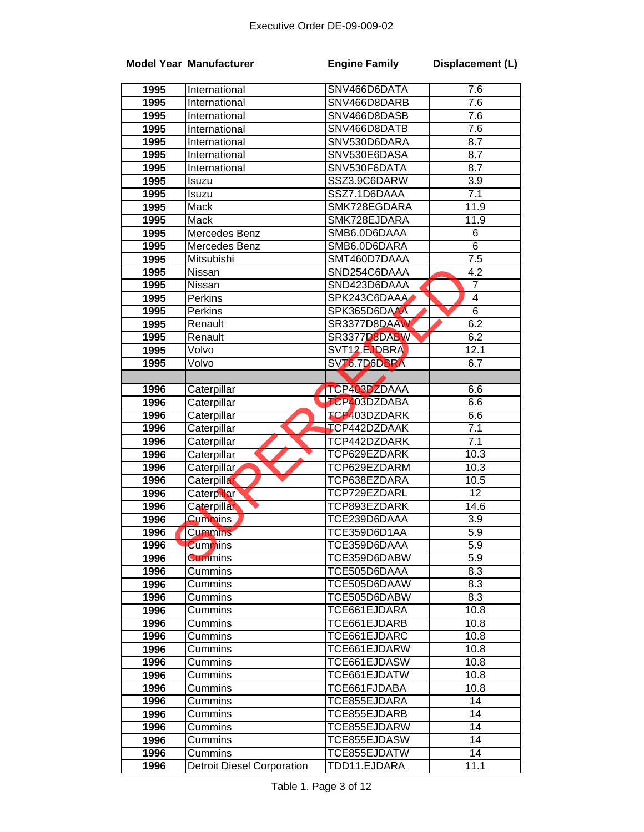|      | <b>Model Year Manufacturer</b>    | <b>Engine Family</b> | Displacement (L)  |
|------|-----------------------------------|----------------------|-------------------|
| 1995 | International                     | SNV466D6DATA         | 7.6               |
| 1995 | International                     | SNV466D8DARB         | 7.6               |
| 1995 | International                     | SNV466D8DASB         | 7.6               |
| 1995 | International                     | SNV466D8DATB         | 7.6               |
| 1995 | International                     | SNV530D6DARA         | 8.7               |
| 1995 | International                     | SNV530E6DASA         | 8.7               |
| 1995 | International                     | SNV530F6DATA         | 8.7               |
| 1995 | Isuzu                             | SSZ3.9C6DARW         | 3.9               |
| 1995 | Isuzu                             | SSZ7.1D6DAAA         | 7.1               |
| 1995 | Mack                              | SMK728EGDARA         | 11.9              |
| 1995 | Mack                              | SMK728EJDARA         | 11.9              |
| 1995 | Mercedes Benz                     | SMB6.0D6DAAA         | 6                 |
| 1995 | Mercedes Benz                     | SMB6.0D6DARA         | $\overline{6}$    |
| 1995 | Mitsubishi                        | SMT460D7DAAA         | 7.5               |
| 1995 | <b>Nissan</b>                     | SND254C6DAAA         | 4.2               |
| 1995 | Nissan                            | SND423D6DAAA         | $\overline{7}$    |
| 1995 | Perkins                           | SPK243C6DAAA         | 4                 |
| 1995 | Perkins                           | SPK365D6DAAA         | $\overline{6}$    |
| 1995 | Renault                           | SR3377D8DAAW         | 6.2               |
| 1995 | Renault                           | SR3377D8DABW         | 6.2               |
| 1995 | Volvo                             | SVT12 EJDBRA         | 12.1              |
| 1995 | Volvo                             | SVT6.7D6DBRA         | 6.7               |
|      |                                   |                      |                   |
| 1996 | Caterpillar                       | TCP403DZDAAA         | 6.6               |
| 1996 | Caterpillar                       | <b>TCP403DZDABA</b>  | 6.6               |
| 1996 | Caterpillar                       | TCP403DZDARK         | 6.6               |
| 1996 | Caterpillar                       | <b>ICP442DZDAAK</b>  | 7.1               |
| 1996 | Caterpillar                       | TCP442DZDARK         | 7.1               |
| 1996 | Caterpillar                       | TCP629EZDARK         | 10.3              |
| 1996 | Caterpillar                       | TCP629EZDARM         | 10.3              |
| 1996 | Caterpillar                       | TCP638EZDARA         | 10.5              |
| 1996 | <b>Caterpillar</b>                | TCP729EZDARL         | 12                |
| 1996 | Caterpillar                       | TCP893EZDARK         | $\overline{1}4.6$ |
| 1996 | <b>Cummins</b>                    | TCE239D6DAAA         | 3.9               |
| 1996 | <b>Cummins</b>                    | TCE359D6D1AA         | 5.9               |
| 1996 | <b>Cummins</b>                    | TCE359D6DAAA         | 5.9               |
| 1996 | <b>Cummins</b>                    | TCE359D6DABW         | 5.9               |
| 1996 | Cummins                           | TCE505D6DAAA         | 8.3               |
| 1996 | Cummins                           | TCE505D6DAAW         | 8.3               |
| 1996 | Cummins                           | TCE505D6DABW         | 8.3               |
| 1996 | Cummins                           | TCE661EJDARA         | 10.8              |
| 1996 | Cummins                           | TCE661EJDARB         | 10.8              |
| 1996 | Cummins                           | TCE661EJDARC         | 10.8              |
| 1996 | Cummins                           | TCE661EJDARW         | 10.8              |
| 1996 | <b>Cummins</b>                    | TCE661EJDASW         | 10.8              |
| 1996 | Cummins                           | TCE661EJDATW         | 10.8              |
| 1996 | Cummins                           | TCE661FJDABA         | 10.8              |
| 1996 | Cummins                           | TCE855EJDARA         | 14                |
| 1996 | Cummins                           | TCE855EJDARB         | 14                |
| 1996 | Cummins                           | TCE855EJDARW         | 14                |
| 1996 | Cummins                           | TCE855EJDASW         | 14                |
| 1996 | Cummins                           | TCE855EJDATW         | 14                |
| 1996 | <b>Detroit Diesel Corporation</b> | TDD11.EJDARA         | 11.1              |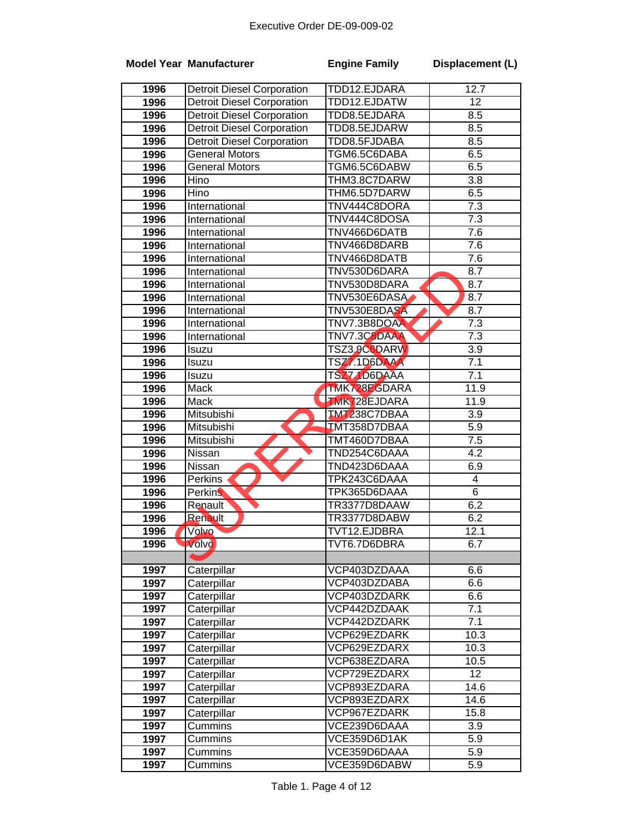|              | <b>Model Year Manufacturer</b>    | <b>Engine Family</b>         | Displacement (L)        |
|--------------|-----------------------------------|------------------------------|-------------------------|
| 1996         | <b>Detroit Diesel Corporation</b> | TDD12.EJDARA                 | 12.7                    |
| 1996         | <b>Detroit Diesel Corporation</b> | TDD12.EJDATW                 | $\overline{12}$         |
| 1996         | <b>Detroit Diesel Corporation</b> | TDD8.5EJDARA                 | 8.5                     |
| 1996         | <b>Detroit Diesel Corporation</b> | TDD8.5EJDARW                 | 8.5                     |
| 1996         | <b>Detroit Diesel Corporation</b> | TDD8.5FJDABA                 | 8.5                     |
| 1996         | <b>General Motors</b>             | TGM6.5C6DABA                 | 6.5                     |
| 1996         | <b>General Motors</b>             | TGM6.5C6DABW                 | 6.5                     |
| 1996         | Hino                              | THM3.8C7DARW                 | 3.8                     |
| 1996         | Hino                              | THM6.5D7DARW                 | 6.5                     |
| 1996         | International                     | TNV444C8DORA                 | 7.3                     |
| 1996         | International                     | TNV444C8DOSA                 | $\overline{7.3}$        |
| 1996         | International                     | TNV466D6DATB                 | 7.6                     |
| 1996         | International                     | TNV466D8DARB                 | 7.6                     |
| 1996         | International                     | TNV466D8DATB                 | 7.6                     |
| 1996         | International                     | TNV530D6DARA                 | 8.7                     |
| 1996         | <b>International</b>              | TNV530D8DARA                 | 8.7                     |
| 1996         | International                     | TNV530E6DASA                 | 8.7                     |
| 1996         | International                     | TNV530E8DASA                 | 8.7                     |
| 1996         | International                     | TNV7.3B8DOAA                 | 7.3                     |
| 1996         | International                     | TNV7.3C8DAAA                 | 7.3                     |
| 1996         | Isuzu                             | TSZ3.9C6DARW                 | $\overline{3.9}$        |
| 1996         | Isuzu                             | TSZ7.1D6DAAA                 | 7.1                     |
| 1996         | Isuzu                             | TSZ71D6DAAA                  | 7.1                     |
| 1996         | Mack                              | TMK728EGDARA                 | 11.9                    |
| 1996         | Mack                              | <b>TMK728EJDARA</b>          | 11.9                    |
| 1996         | Mitsubishi                        | <b>TMT238C7DBAA</b>          | 3.9                     |
| 1996         | Mitsubishi                        | TMT358D7DBAA                 | 5.9                     |
| 1996         | Mitsubishi                        | TMT460D7DBAA                 | 7.5<br>$\overline{4.2}$ |
| 1996<br>1996 | Nissan<br>Nissan                  | TND254C6DAAA<br>TND423D6DAAA | 6.9                     |
| 1996         | Perkins                           | TPK243C6DAAA                 | $\overline{\mathbf{4}}$ |
| 1996         | <b>Perkins</b>                    | TPK365D6DAAA                 | $6\phantom{1}6$         |
| 1996         | Renault                           | TR3377D8DAAW                 | 6.2                     |
| 1996         | Renault                           | TR3377D8DABW                 | 6.2                     |
| 1996         | Volvo                             | TVT12.EJDBRA                 | 12.1                    |
| 1996         | Volvo                             | TVT6.7D6DBRA                 | 6.7                     |
|              |                                   |                              |                         |
| 1997         | Caterpillar                       | VCP403DZDAAA                 | 6.6                     |
| 1997         | Caterpillar                       | VCP403DZDABA                 | 6.6                     |
| 1997         | Caterpillar                       | VCP403DZDARK                 | 6.6                     |
| 1997         | Caterpillar                       | VCP442DZDAAK                 | 7.1                     |
| 1997         | Caterpillar                       | VCP442DZDARK                 | 7.1                     |
| 1997         | Caterpillar                       | VCP629EZDARK                 | 10.3                    |
| 1997         | Caterpillar                       | VCP629EZDARX                 | 10.3                    |
| 1997         | Caterpillar                       | VCP638EZDARA                 | 10.5                    |
| 1997         | Caterpillar                       | VCP729EZDARX                 | 12                      |
| 1997         | Caterpillar                       | VCP893EZDARA                 | 14.6                    |
| 1997         | Caterpillar                       | VCP893EZDARX                 | 14.6                    |
| 1997         | Caterpillar                       | VCP967EZDARK                 | 15.8                    |
| 1997         | Cummins                           | VCE239D6DAAA                 | 3.9                     |
| 1997         | Cummins                           | VCE359D6D1AK                 | $\overline{5.9}$        |
| 1997         | Cummins                           | VCE359D6DAAA                 | 5.9                     |
| 1997         | Cummins                           | VCE359D6DABW                 | 5.9                     |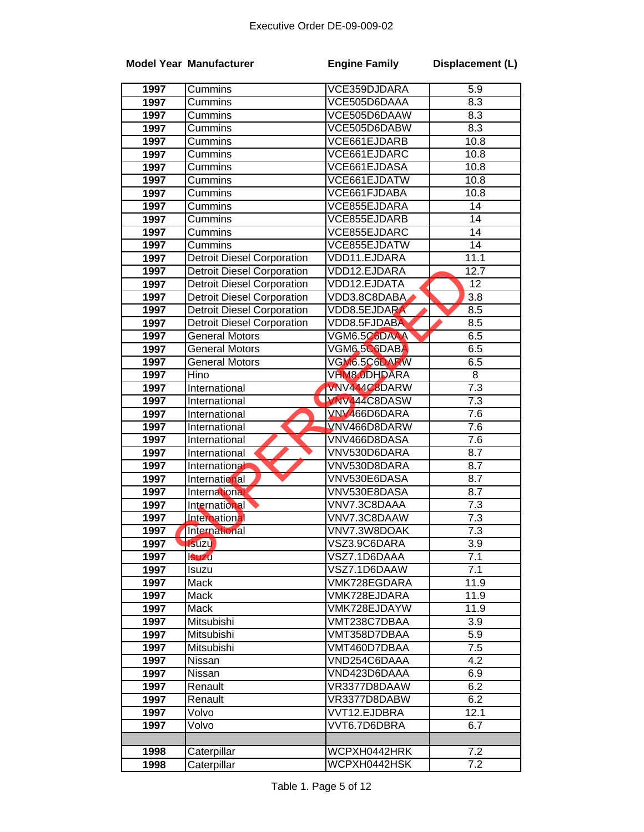|      | <b>Model Year Manufacturer</b>    | <b>Engine Family</b> | Displacement (L) |
|------|-----------------------------------|----------------------|------------------|
| 1997 | Cummins                           | VCE359DJDARA         | 5.9              |
| 1997 | Cummins                           | VCE505D6DAAA         | 8.3              |
| 1997 | Cummins                           | VCE505D6DAAW         | 8.3              |
| 1997 | Cummins                           | VCE505D6DABW         | 8.3              |
| 1997 | Cummins                           | VCE661EJDARB         | 10.8             |
| 1997 | Cummins                           | VCE661EJDARC         | 10.8             |
| 1997 | Cummins                           | VCE661EJDASA         | 10.8             |
| 1997 | Cummins                           | VCE661EJDATW         | 10.8             |
| 1997 | Cummins                           | VCE661FJDABA         | 10.8             |
| 1997 | Cummins                           | VCE855EJDARA         | 14               |
| 1997 | Cummins                           | VCE855EJDARB         | $\overline{14}$  |
| 1997 | Cummins                           | VCE855EJDARC         | $\overline{14}$  |
| 1997 | Cummins                           | VCE855EJDATW         | 14               |
| 1997 | <b>Detroit Diesel Corporation</b> | VDD11.EJDARA         | 11.1             |
| 1997 | <b>Detroit Diesel Corporation</b> | VDD12.EJDARA         | 12.7             |
| 1997 | <b>Detroit Diesel Corporation</b> | <b>VDD12.EJDATA</b>  | 12               |
| 1997 | <b>Detroit Diesel Corporation</b> | VDD3.8C8DABA         | 3.8              |
| 1997 | <b>Detroit Diesel Corporation</b> | VDD8.5EJDARA         | 8.5              |
| 1997 | <b>Detroit Diesel Corporation</b> | VDD8.5FJDABA         | 8.5              |
| 1997 | <b>General Motors</b>             | VGM6.5C6DAAA         | 6.5              |
| 1997 | <b>General Motors</b>             | VGM6.5C6DABA         | 6.5              |
| 1997 | <b>General Motors</b>             | VGM6.5C6DARW         | 6.5              |
| 1997 | Hino                              | VHM8.0DHDARA         | $\overline{8}$   |
| 1997 | International                     | <b>VNV444C8DARW</b>  | $\overline{7.3}$ |
| 1997 | International                     | <b>WW444C8DASW</b>   | $\overline{7.3}$ |
| 1997 | International                     | VNV466D6DARA         | 7.6              |
| 1997 | International                     | VNV466D8DARW         | $\overline{7.6}$ |
| 1997 | International                     | VNV466D8DASA         | 7.6              |
| 1997 | International                     | VNV530D6DARA         | $\overline{8.7}$ |
| 1997 | International                     | VNV530D8DARA         | 8.7              |
| 1997 | International                     | VNV530E6DASA         | 8.7              |
| 1997 | International                     | VNV530E8DASA         | 8.7              |
| 1997 | International                     | VNV7.3C8DAAA         | 7.3              |
| 1997 | <b>International</b>              | VNV7.3C8DAAW         | 7.3              |
| 1997 | International                     | VNV7.3W8DOAK         | 7.3              |
| 1997 | <b>Isuzu</b>                      | VSZ3.9C6DARA         | 3.9              |
| 1997 | <b>Suzu</b>                       | VSZ7.1D6DAAA         | 7.1              |
| 1997 | Isuzu                             | VSZ7.1D6DAAW         | 7.1              |
| 1997 | Mack                              | VMK728EGDARA         | 11.9             |
| 1997 | Mack                              | VMK728EJDARA         | 11.9             |
| 1997 | Mack                              | VMK728EJDAYW         | 11.9             |
| 1997 | Mitsubishi                        | VMT238C7DBAA         | 3.9              |
| 1997 | Mitsubishi                        | VMT358D7DBAA         | 5.9              |
| 1997 | Mitsubishi                        | VMT460D7DBAA         | 7.5              |
| 1997 | Nissan                            | VND254C6DAAA         | 4.2              |
| 1997 | Nissan                            | VND423D6DAAA         | 6.9              |
| 1997 | Renault                           | VR3377D8DAAW         | 6.2              |
| 1997 | Renault                           | VR3377D8DABW         | 6.2              |
| 1997 | Volvo                             | VVT12.EJDBRA         | 12.1             |
| 1997 | Volvo                             | VVT6.7D6DBRA         | 6.7              |
| 1998 | Caterpillar                       | WCPXH0442HRK         | 7.2              |
| 1998 | Caterpillar                       | WCPXH0442HSK         | 7.2              |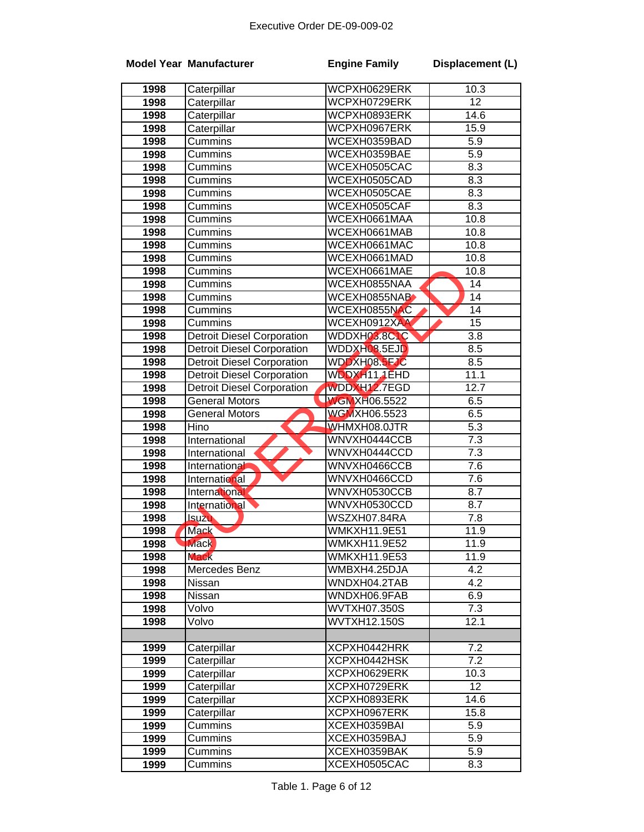|                   | <b>Model Year Manufacturer</b>    | <b>Engine Family</b>         | Displacement (L)         |
|-------------------|-----------------------------------|------------------------------|--------------------------|
| 1998              | Caterpillar                       | WCPXH0629ERK                 | 10.3                     |
| 1998              | Caterpillar                       | WCPXH0729ERK                 | $\overline{12}$          |
| 1998              | Caterpillar                       | WCPXH0893ERK                 | 14.6                     |
| 1998              | Caterpillar                       | WCPXH0967ERK                 | 15.9                     |
| 1998              | Cummins                           | WCEXH0359BAD                 | 5.9                      |
| 1998              | Cummins                           | WCEXH0359BAE                 | 5.9                      |
| 1998              | Cummins                           | WCEXH0505CAC                 | 8.3                      |
| 1998              | Cummins                           | WCEXH0505CAD                 | $8.\overline{3}$         |
| 1998              | Cummins                           | WCEXH0505CAE                 | 8.3                      |
| 1998              | Cummins                           | WCEXH0505CAF                 | 8.3                      |
| 1998              | Cummins                           | WCEXH0661MAA                 | 10.8                     |
| 1998              | Cummins                           | WCEXH0661MAB                 | 10.8                     |
| 1998              | Cummins                           | WCEXH0661MAC                 | 10.8                     |
| 1998              | Cummins                           | WCEXH0661MAD                 | 10.8                     |
| 1998              | Cummins                           | WCEXH0661MAE                 | 10.8                     |
| 1998              | Cummins                           | WCEXH0855NAA                 | $\overline{14}$          |
| 1998              | Cummins                           | WCEXH0855NAB                 | $\overline{14}$          |
| 1998              | Cummins                           | WCEXH0855NAC                 | $\overline{14}$          |
| 1998              | Cummins                           | WCEXH0912XAA                 | $\overline{15}$          |
| 1998              | <b>Detroit Diesel Corporation</b> | WDDXH03.8CLC                 | $\overline{3.8}$         |
| 1998              | <b>Detroit Diesel Corporation</b> | WDDXHQ8.5EJD                 | 8.5                      |
| 1998              | <b>Detroit Diesel Corporation</b> | WDDXH08.5FJC                 | 8.5                      |
| 1998              | <b>Detroit Diesel Corporation</b> | WDDXH11.1EHD                 | 11.1                     |
| 1998              | <b>Detroit Diesel Corporation</b> | WDDXH12.7EGD                 | 12.7                     |
| 1998              | General Motors                    | <b>WGMXH06.5522</b>          | 6.5                      |
| 1998              | <b>General Motors</b>             | <b>WGMXH06.5523</b>          | 6.5                      |
| 1998              | Hino                              | WHMXH08.0JTR                 | $\overline{5.3}$         |
| 1998              | International                     | WNVXH0444CCB                 | $\overline{7.3}$         |
| 1998              | International                     | WNVXH0444CCD                 | 7.3                      |
| 1998              | International                     | WNVXH0466CCB                 | 7.6                      |
| 1998              | <b>International</b>              | WNVXH0466CCD                 | 7.6                      |
| 1998              | International                     | WNVXH0530CCB                 | 8.7                      |
| 1998              | International                     | WNVXH0530CCD                 | 8.7                      |
| 1998              | <b>Isuzu</b>                      | WSZXH07.84RA                 | 7.8                      |
| 1998              | <b>Mack</b>                       | <b>WMKXH11.9E51</b>          | 11.9                     |
| 1998              | <b>Mack</b>                       | <b>WMKXH11.9E52</b>          | 11.9                     |
| 1998              | <b>Mack</b>                       | <b>WMKXH11.9E53</b>          | 11.9<br>$\overline{4.2}$ |
| 1998              | Mercedes Benz<br>Nissan           | WMBXH4.25DJA<br>WNDXH04.2TAB | 4.2                      |
| 1998<br>1998      | Nissan                            | WNDXH06.9FAB                 | 6.9                      |
| 1998              | Volvo                             | WVTXH07.350S                 | $\overline{7.3}$         |
| 1998              | Volvo                             | <b>WVTXH12.150S</b>          | 12.1                     |
|                   |                                   |                              |                          |
| 1999              | Caterpillar                       | XCPXH0442HRK                 | 7.2                      |
| 1999              | Caterpillar                       | XCPXH0442HSK                 | 7.2                      |
| 1999              | Caterpillar                       | XCPXH0629ERK                 | 10.3                     |
| 1999              | Caterpillar                       | XCPXH0729ERK                 | 12                       |
| 1999              | Caterpillar                       | XCPXH0893ERK                 | 14.6                     |
| 1999              | Caterpillar                       | XCPXH0967ERK                 | 15.8                     |
| 1999              | Cummins                           | XCEXH0359BAI                 | 5.9                      |
| $\overline{1999}$ | Cummins                           | XCEXH0359BAJ                 | 5.9                      |
| 1999              | Cummins                           | XCEXH0359BAK                 | 5.9                      |
| 1999              | Cummins                           | XCEXH0505CAC                 | 8.3                      |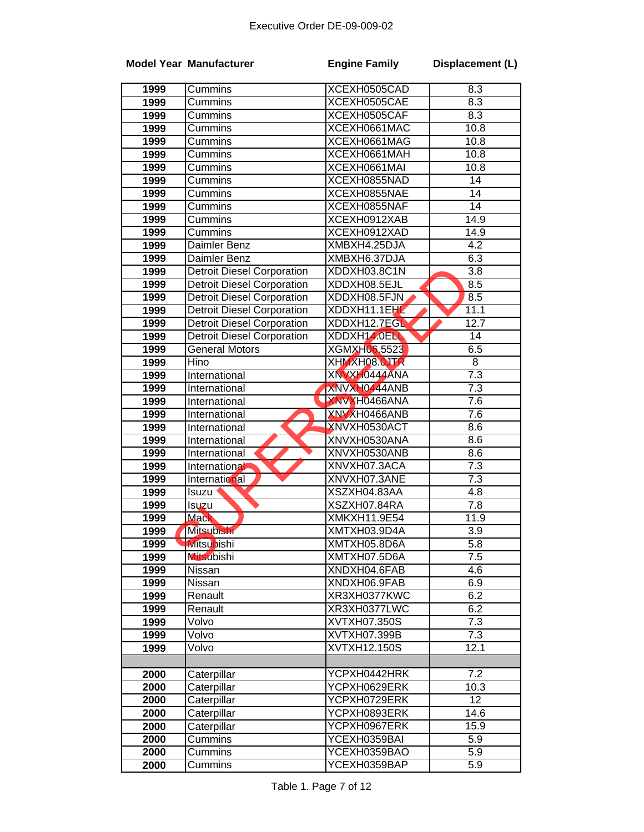|      | <b>Model Year Manufacturer</b>    | <b>Engine Family</b> | Displacement (L) |
|------|-----------------------------------|----------------------|------------------|
| 1999 | Cummins                           | XCEXH0505CAD         | 8.3              |
| 1999 | Cummins                           | XCEXH0505CAE         | 8.3              |
| 1999 | Cummins                           | XCEXH0505CAF         | $\overline{8.3}$ |
| 1999 | Cummins                           | XCEXH0661MAC         | 10.8             |
| 1999 | Cummins                           | XCEXH0661MAG         | 10.8             |
| 1999 | Cummins                           | XCEXH0661MAH         | 10.8             |
| 1999 | Cummins                           | XCEXH0661MAI         | 10.8             |
| 1999 | Cummins                           | XCEXH0855NAD         | 14               |
| 1999 | Cummins                           | XCEXH0855NAE         | 14               |
| 1999 | Cummins                           | XCEXH0855NAF         | $\overline{14}$  |
| 1999 | Cummins                           | XCEXH0912XAB         | 14.9             |
| 1999 | Cummins                           | XCEXH0912XAD         | 14.9             |
| 1999 | Daimler Benz                      | XMBXH4.25DJA         | 4.2              |
| 1999 | Daimler Benz                      | XMBXH6.37DJA         | 6.3              |
| 1999 | <b>Detroit Diesel Corporation</b> | XDDXH03.8C1N         | 3.8              |
| 1999 | <b>Detroit Diesel Corporation</b> | XDDXH08.5EJL         | 8.5              |
| 1999 | <b>Detroit Diesel Corporation</b> | XDDXH08.5FJN         | 8.5              |
| 1999 | <b>Detroit Diesel Corporation</b> | XDDXH11.1EH          | 11.1             |
| 1999 | <b>Detroit Diesel Corporation</b> | XDDXH12.7EGL         | 12.7             |
| 1999 | <b>Detroit Diesel Corporation</b> | XDDXH14.0ELL         | 14               |
| 1999 | <b>General Motors</b>             | <b>XGMXH06.5523</b>  | 6.5              |
| 1999 | Hino                              | XHMXH08.0JTR         | 8                |
| 1999 | International                     | XNVXH0444ANA         | 7.3              |
| 1999 | International                     | XNVXH0444ANB         | 7.3              |
| 1999 | International                     | XNVXH0466ANA         | 7.6              |
| 1999 | International                     | XNVXH0466ANB         | $\overline{7.6}$ |
| 1999 | International                     | XNVXH0530ACT         | 8.6              |
| 1999 | International                     | XNVXH0530ANA         | 8.6              |
| 1999 | International                     | XNVXH0530ANB         | 8.6              |
| 1999 | International                     | XNVXH07.3ACA         | $\overline{7.3}$ |
| 1999 | <b>International</b>              | XNVXH07.3ANE         | 7.3              |
| 1999 | Isuzu                             | XSZXH04.83AA         | 4.8              |
| 1999 | Isuzu                             | XSZXH07.84RA         | 7.8              |
| 1999 | <b>Mack</b>                       | XMKXH11.9E54         | 11.9             |
| 1999 | <b>Mitsubishi</b>                 | XMTXH03.9D4A         | 3.9              |
| 1999 | <b>Mitsubishi</b>                 | XMTXH05.8D6A         | 5.8              |
| 1999 | <b>Mitsubishi</b>                 | XMTXH07.5D6A         | 7.5              |
| 1999 | Nissan                            | XNDXH04.6FAB         | 4.6              |
| 1999 | Nissan                            | XNDXH06.9FAB         | 6.9              |
| 1999 | Renault                           | XR3XH0377KWC         | 6.2              |
| 1999 | Renault                           | XR3XH0377LWC         | 6.2              |
| 1999 | Volvo                             | XVTXH07.350S         | $\overline{7.3}$ |
| 1999 | Volvo                             | XVTXH07.399B         | 7.3              |
| 1999 | Volvo                             | XVTXH12.150S         | 12.1             |
|      |                                   |                      |                  |
| 2000 | Caterpillar                       | YCPXH0442HRK         | 7.2              |
| 2000 | Caterpillar                       | YCPXH0629ERK         | 10.3             |
| 2000 | Caterpillar                       | YCPXH0729ERK         | $\overline{12}$  |
| 2000 | Caterpillar                       | YCPXH0893ERK         | 14.6             |
| 2000 | Caterpillar                       | YCPXH0967ERK         | 15.9             |
| 2000 | Cummins                           | YCEXH0359BAI         | 5.9              |
| 2000 | Cummins                           | YCEXH0359BAO         | 5.9              |
| 2000 | Cummins                           | YCEXH0359BAP         | 5.9              |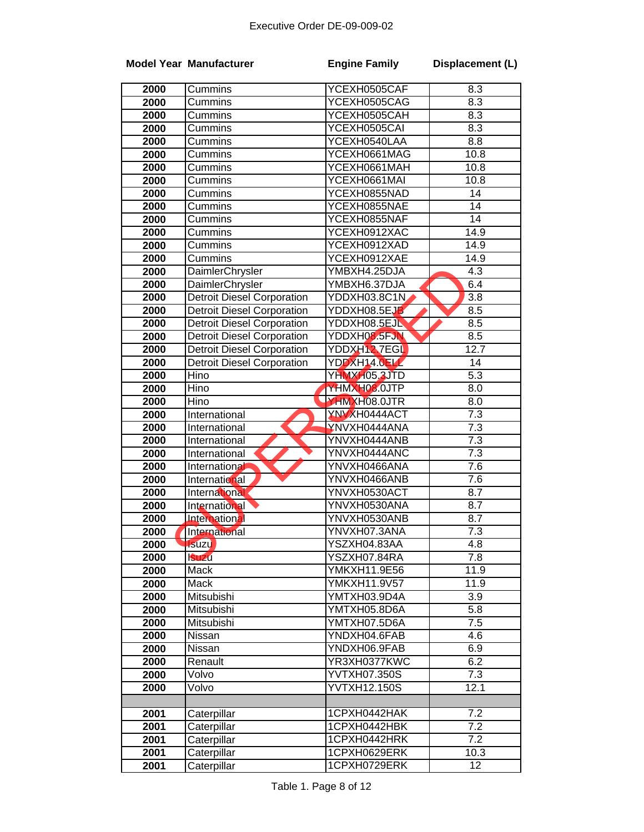|      | <b>Model Year Manufacturer</b>    | <b>Engine Family</b> | Displacement (L) |
|------|-----------------------------------|----------------------|------------------|
| 2000 | Cummins                           | YCEXH0505CAF         | 8.3              |
| 2000 | Cummins                           | YCEXH0505CAG         | 8.3              |
| 2000 | Cummins                           | YCEXH0505CAH         | 8.3              |
| 2000 | Cummins                           | YCEXH0505CAI         | 8.3              |
| 2000 | Cummins                           | YCEXH0540LAA         | 8.8              |
| 2000 | Cummins                           | YCEXH0661MAG         | 10.8             |
| 2000 | Cummins                           | YCEXH0661MAH         | 10.8             |
| 2000 | Cummins                           | YCEXH0661MAI         | 10.8             |
| 2000 | Cummins                           | YCEXH0855NAD         | 14               |
| 2000 | Cummins                           | YCEXH0855NAE         | $\overline{14}$  |
| 2000 | Cummins                           | YCEXH0855NAF         | 14               |
| 2000 | Cummins                           | YCEXH0912XAC         | 14.9             |
| 2000 | Cummins                           | YCEXH0912XAD         | 14.9             |
| 2000 | Cummins                           | YCEXH0912XAE         | 14.9             |
| 2000 | DaimlerChrysler                   | YMBXH4.25DJA         | $\overline{4.3}$ |
| 2000 | DaimlerChrysler                   | YMBXH6.37DJA         | 6.4              |
| 2000 | <b>Detroit Diesel Corporation</b> | YDDXH03.8C1N         | 3.8              |
| 2000 | <b>Detroit Diesel Corporation</b> | YDDXH08.5EJB         | 8.5              |
| 2000 | <b>Detroit Diesel Corporation</b> | YDDXH08.5EJN         | 8.5              |
| 2000 | <b>Detroit Diesel Corporation</b> | YDDXH08.5FJN         | 8.5              |
| 2000 | <b>Detroit Diesel Corporation</b> | YDDXH12 7EGL         | 12.7             |
| 2000 | <b>Detroit Diesel Corporation</b> | YDDXH14.0ELL         | 14               |
| 2000 | Hino                              | YHMXH05,3JTD         | $\overline{5.3}$ |
| 2000 | Hino                              | YHMXH08.0JTP         | $\overline{8.0}$ |
| 2000 | Hino                              | YHMXH08.0JTR         | 8.0              |
| 2000 | International                     | <b>YNVXH0444ACT</b>  | $\overline{7.3}$ |
| 2000 | International                     | YNVXH0444ANA         | 7.3              |
| 2000 | International                     | YNVXH0444ANB         | $\overline{7.3}$ |
| 2000 | International                     | YNVXH0444ANC         | 7.3              |
| 2000 | International                     | YNVXH0466ANA         | $\overline{7.6}$ |
| 2000 | International                     | YNVXH0466ANB         | $\overline{7.6}$ |
| 2000 | International                     | YNVXH0530ACT         | 8.7              |
| 2000 | International                     | YNVXH0530ANA         | 8.7              |
| 2000 | <b>International</b>              | YNVXH0530ANB         | 8.7              |
| 2000 | <b>International</b>              | YNVXH07.3ANA         | 7.3              |
| 2000 | <b>Isuzu</b>                      | YSZXH04.83AA         | 4.8              |
| 2000 | <b>Suzu</b>                       | YSZXH07.84RA         | 7.8              |
| 2000 | Mack                              | <b>YMKXH11.9E56</b>  | 11.9             |
| 2000 | Mack                              | YMKXH11.9V57         | 11.9             |
| 2000 | Mitsubishi                        | YMTXH03.9D4A         | 3.9              |
| 2000 | Mitsubishi                        | YMTXH05.8D6A         | 5.8              |
| 2000 | Mitsubishi                        | YMTXH07.5D6A         | $\overline{7.5}$ |
| 2000 | Nissan                            | YNDXH04.6FAB         | 4.6              |
| 2000 | Nissan                            | YNDXH06.9FAB         | $6.\overline{9}$ |
| 2000 | Renault                           | YR3XH0377KWC         | 6.2              |
| 2000 | Volvo                             | YVTXH07.350S         | 7.3              |
| 2000 | Volvo                             | YVTXH12.150S         | 12.1             |
|      |                                   |                      |                  |
| 2001 | Caterpillar                       | 1CPXH0442HAK         | 7.2              |
| 2001 | Caterpillar                       | 1CPXH0442HBK         | 7.2              |
| 2001 | Caterpillar                       | 1CPXH0442HRK         | 7.2              |
| 2001 | Caterpillar                       | 1CPXH0629ERK         | 10.3             |
| 2001 | Caterpillar                       | 1CPXH0729ERK         | $\overline{12}$  |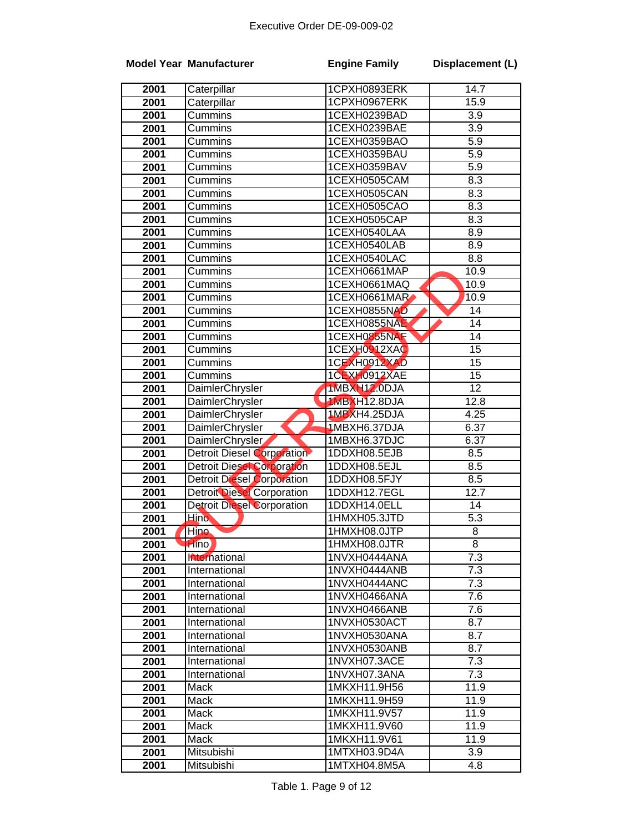|      | <b>Model Year Manufacturer</b>    | <b>Engine Family</b> | Displacement (L)  |
|------|-----------------------------------|----------------------|-------------------|
| 2001 | Caterpillar                       | 1CPXH0893ERK         | $\overline{14.7}$ |
| 2001 | Caterpillar                       | 1CPXH0967ERK         | 15.9              |
| 2001 | Cummins                           | 1CEXH0239BAD         | 3.9               |
| 2001 | Cummins                           | 1CEXH0239BAE         | $\overline{3.9}$  |
| 2001 | Cummins                           | 1CEXH0359BAO         | $\overline{5.9}$  |
| 2001 | Cummins                           | 1CEXH0359BAU         | 5.9               |
| 2001 | Cummins                           | 1CEXH0359BAV         | 5.9               |
| 2001 | Cummins                           | 1CEXH0505CAM         | 8.3               |
| 2001 | Cummins                           | 1CEXH0505CAN         | 8.3               |
| 2001 | Cummins                           | 1CEXH0505CAO         | 8.3               |
| 2001 | Cummins                           | 1CEXH0505CAP         | 8.3               |
| 2001 | Cummins                           | 1CEXH0540LAA         | 8.9               |
| 2001 | Cummins                           | 1CEXH0540LAB         | 8.9               |
| 2001 | Cummins                           | 1CEXH0540LAC         | 8.8               |
| 2001 | Cummins                           | 1CEXH0661MAP         | 10.9              |
| 2001 | Cummins                           | 1CEXH0661MAQ         | 10.9              |
| 2001 | Cummins                           | 1CEXH0661MAR         | 10.9              |
| 2001 | Cummins                           | 1CEXH0855NAD         | $\overline{14}$   |
| 2001 | Cummins                           | 1CEXH0855NAE         | $\overline{14}$   |
| 2001 | Cummins                           | 1CEXH0855NAF         | $\overline{14}$   |
| 2001 | Cummins                           | 1CEXH0912XAC         | $\overline{15}$   |
| 2001 | Cummins                           | 1CEXH0912XAD         | $\overline{15}$   |
| 2001 | Cummins                           | 1CEXH0912XAE         | $\overline{15}$   |
| 2001 | DaimlerChrysler                   | 1MBXH12.0DJA         | $\overline{12}$   |
| 2001 | DaimlerChrysler                   | 1MBXH12.8DJA         | 12.8              |
| 2001 | DaimlerChrysler                   | 1MBXH4.25DJA         | 4.25              |
| 2001 | <b>DaimlerChrysler</b>            | 1MBXH6.37DJA         | 6.37              |
| 2001 | DaimlerChrysler                   | 1MBXH6.37DJC         | 6.37              |
| 2001 | Detroit Diesel Corporation        | 1DDXH08.5EJB         | 8.5               |
| 2001 | <b>Detroit Diesel Corporation</b> | 1DDXH08.5EJL         | 8.5               |
| 2001 | <b>Detroit Diesel Corporation</b> | 1DDXH08.5FJY         | 8.5               |
| 2001 | <b>Detroit Diesel Corporation</b> | 1DDXH12.7EGL         | 12.7              |
| 2001 | <b>Detroit Diesel Corporation</b> | 1DDXH14.0ELL         | 14                |
| 2001 | <b>Hino</b>                       | 1HMXH05.3JTD         | 5.3               |
| 2001 | Hino                              | 1HMXH08.0JTP         | 8                 |
| 2001 | Hino)                             | 1HMXH08.0JTR         | 8                 |
| 2001 | hternational                      | 1NVXH0444ANA         | $\overline{7.3}$  |
| 2001 | International                     | 1NVXH0444ANB         | 7.3               |
| 2001 | International                     | 1NVXH0444ANC         | 7.3               |
| 2001 | International                     | 1NVXH0466ANA         | $\overline{7.6}$  |
| 2001 | International                     | 1NVXH0466ANB         | 7.6               |
| 2001 | International                     | 1NVXH0530ACT         | 8.7               |
| 2001 | International                     | 1NVXH0530ANA         | $\overline{8.7}$  |
| 2001 | International                     | 1NVXH0530ANB         | 8.7               |
| 2001 | International                     | 1NVXH07.3ACE         | 7.3               |
| 2001 | International                     | 1NVXH07.3ANA         | 7.3               |
| 2001 | Mack                              | 1MKXH11.9H56         | 11.9              |
| 2001 | Mack                              | 1MKXH11.9H59         | 11.9              |
| 2001 | Mack                              | 1MKXH11.9V57         | 11.9              |
| 2001 | Mack                              | 1MKXH11.9V60         | 11.9              |
| 2001 | Mack                              | 1MKXH11.9V61         | 11.9              |
| 2001 | Mitsubishi                        | 1MTXH03.9D4A         | 3.9               |
| 2001 | Mitsubishi                        | 1MTXH04.8M5A         | 4.8               |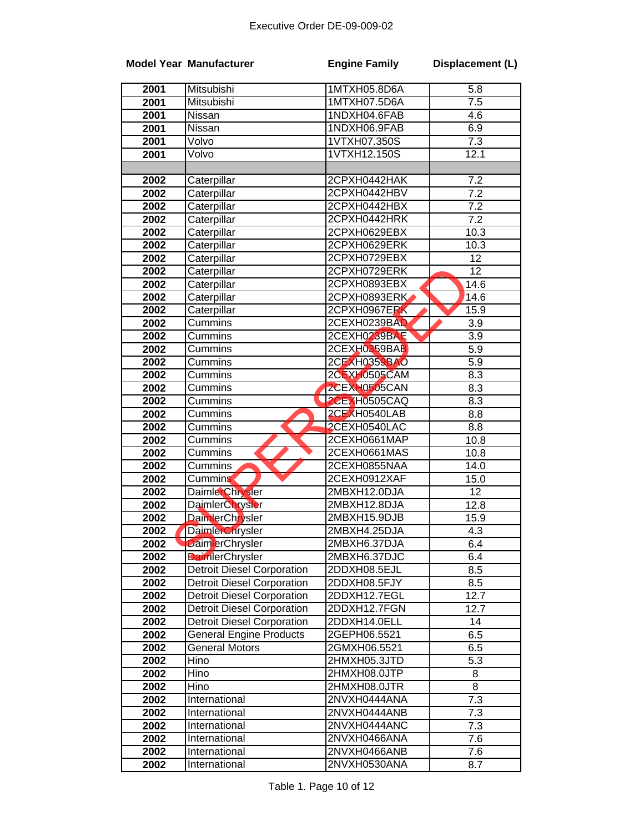|      | <b>Model Year Manufacturer</b>    | <b>Engine Family</b> | Displacement (L) |
|------|-----------------------------------|----------------------|------------------|
| 2001 | Mitsubishi                        | 1MTXH05.8D6A         | 5.8              |
| 2001 | Mitsubishi                        | 1MTXH07.5D6A         | $\overline{7.5}$ |
| 2001 | <b>Nissan</b>                     | 1NDXH04.6FAB         | 4.6              |
| 2001 | Nissan                            | 1NDXH06.9FAB         | 6.9              |
| 2001 | Volvo                             | 1VTXH07.350S         | $\overline{7.3}$ |
| 2001 | Volvo                             | 1VTXH12.150S         | 12.1             |
|      |                                   |                      |                  |
| 2002 | Caterpillar                       | 2CPXH0442HAK         | 7.2              |
| 2002 | Caterpillar                       | 2CPXH0442HBV         | 7.2              |
| 2002 | Caterpillar                       | 2CPXH0442HBX         | 7.2              |
| 2002 | Caterpillar                       | 2CPXH0442HRK         | 7.2              |
| 2002 | Caterpillar                       | 2CPXH0629EBX         | 10.3             |
| 2002 | Caterpillar                       | 2CPXH0629ERK         | 10.3             |
| 2002 | Caterpillar                       | 2CPXH0729EBX         | 12               |
| 2002 | Caterpillar                       | 2CPXH0729ERK         | 12               |
| 2002 | Caterpillar                       | 2CPXH0893EBX         | 14.6             |
| 2002 | Caterpillar                       | 2CPXH0893ERK         | 14.6             |
| 2002 | Caterpillar                       | 2CPXH0967ERK         | 15.9             |
| 2002 | Cummins                           | 2CEXH0239BAD         | 3.9              |
| 2002 | Cummins                           | 2CEXH0239BAE         | 3.9              |
| 2002 | Cummins                           | 2CEXH0359BAB         | 5.9              |
| 2002 | Cummins                           | 2CEXH0359BAO         | 5.9              |
| 2002 | Cummins                           | 2CEXH0505CAM         | 8.3              |
| 2002 | Cummins                           | 2CEXH0505CAN         | 8.3              |
| 2002 | Cummins                           | <b>2CEXH0505CAQ</b>  | 8.3              |
| 2002 | Cummins                           | 2CEXH0540LAB         | 8.8              |
| 2002 | Cummins                           | 2CEXH0540LAC         | 8.8              |
| 2002 | Cummins                           | 2CEXH0661MAP         | 10.8             |
| 2002 | Cummins                           | 2CEXH0661MAS         | 10.8             |
| 2002 | Cummins                           | 2CEXH0855NAA         | 14.0             |
| 2002 | <b>Cummins</b>                    | 2CEXH0912XAF         | 15.0             |
| 2002 | <b>DaimlerChrysler</b>            | 2MBXH12.0DJA         | 12               |
| 2002 | <b>DaimlerChrysler</b>            | 2MBXH12.8DJA         | 12.8             |
| 2002 | DaimlerChrysler                   | 2MBXH15.9DJB         | 15.9             |
| 2002 | <b>DaimlerChrysler</b>            | 2MBXH4.25DJA         | 4.3              |
| 2002 | <b>DaimlerChrysler</b>            | 2MBXH6.37DJA         | 6.4              |
| 2002 | <b>DaimlerChrysler</b>            | 2MBXH6.37DJC         | 6.4              |
| 2002 | <b>Detroit Diesel Corporation</b> | 2DDXH08.5EJL         | 8.5              |
| 2002 | <b>Detroit Diesel Corporation</b> | 2DDXH08.5FJY         | 8.5              |
| 2002 | <b>Detroit Diesel Corporation</b> | 2DDXH12.7EGL         | 12.7             |
| 2002 | <b>Detroit Diesel Corporation</b> | 2DDXH12.7FGN         | 12.7             |
| 2002 | <b>Detroit Diesel Corporation</b> | 2DDXH14.0ELL         | 14               |
| 2002 | <b>General Engine Products</b>    | 2GEPH06.5521         | 6.5              |
| 2002 | <b>General Motors</b>             | 2GMXH06.5521         | 6.5              |
| 2002 | Hino                              | 2HMXH05.3JTD         | 5.3              |
| 2002 | Hino                              | 2HMXH08.0JTP         | 8                |
| 2002 | Hino                              | 2HMXH08.0JTR         | 8                |
| 2002 | International                     | 2NVXH0444ANA         | 7.3              |
| 2002 | International                     | 2NVXH0444ANB         | 7.3              |
| 2002 | International                     | 2NVXH0444ANC         | 7.3              |
| 2002 | International                     | 2NVXH0466ANA         | 7.6              |
| 2002 | International                     | 2NVXH0466ANB         | 7.6              |
| 2002 | International                     | 2NVXH0530ANA         | 8.7              |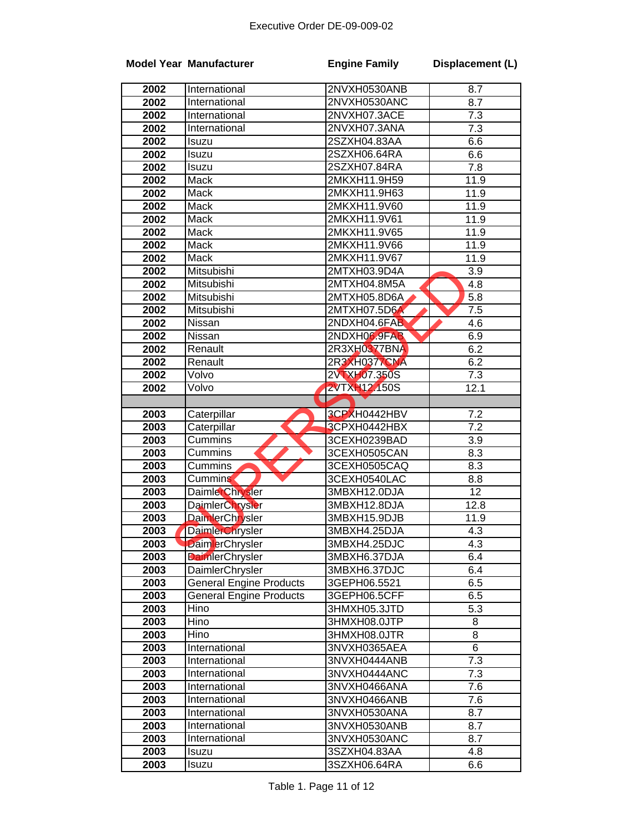| 2002<br>2NVXH0530ANB<br>8.7<br>International<br>2002<br>2NVXH0530ANC<br>8.7<br>International<br>2002<br>2NVXH07.3ACE<br>7.3<br>International<br>2002<br>2NVXH07.3ANA<br>7.3<br>International<br>2002<br>2SZXH04.83AA<br>6.6<br>Isuzu<br>2002<br>2SZXH06.64RA<br>6.6<br>Isuzu<br>7.8<br>2002<br>2SZXH07.84RA<br>Isuzu<br>2002<br>2MKXH11.9H59<br>Mack<br>11.9<br>2002<br>2MKXH11.9H63<br>11.9<br>Mack<br>2002<br><b>Mack</b><br>2MKXH11.9V60<br>11.9<br>2MKXH11.9V61<br>2002<br>Mack<br>11.9<br>Mack<br>2MKXH11.9V65<br>2002<br>11.9<br>Mack<br>2002<br>2MKXH11.9V66<br>11.9<br>2002<br>Mack<br>2MKXH11.9V67<br>11.9<br>Mitsubishi<br>2MTXH03.9D4A<br>2002<br>3.9<br>2002<br>Mitsubishi<br>2MTXH04.8M5A<br>4.8<br>Mitsubishi<br>2MTXH05.8D6A<br>5.8<br>2002<br>2002<br>Mitsubishi<br>2MTXH07.5D6A<br>7.5<br>2NDXH04.6FAB<br>2002<br>Nissan<br>4.6<br>2NDXH06.9FAB<br>2002<br>Nissan<br>6.9<br>2R3XH0377BNA<br>6.2<br>2002<br>Renault<br><b>2R3XH0377CNA</b><br>6.2<br>2002<br>Renault<br>2VTXH07.350S<br>2002<br>7.3<br>Volvo<br><b>2VTXH12.150S</b><br>2002<br>Volvo<br>12.1<br>ŋ<br>2003<br>Caterpillar<br>3CPXH0442HBV<br>7.2<br>3CPXH0442HBX<br>$\overline{7.2}$<br>2003<br>Caterpillar<br>2003<br>Cummins<br>3CEXH0239BAD<br>3.9<br>2003<br>8.3<br>3CEXH0505CAN<br>Cummins<br>8.3<br>2003<br>3CEXH0505CAQ<br>Cummins<br>2003<br>3CEXH0540LAC<br>8.8<br><b>Cummins</b><br>12<br>2003<br><b>DaimlerChrysler</b><br>3MBXH12.0DJA<br>2003<br><b>DaimlerChrysler</b><br>3MBXH12.8DJA<br>12.8<br>2003<br>DaimlerChrysler<br>3MBXH15.9DJB<br>11.9<br>2003<br>DaimlerChrysler<br>3MBXH4.25DJA<br>4.3<br>3MBXH4.25DJC<br>4.3<br>2003<br><b>DaimlerChrysler</b><br><b>DaimlerChrysler</b><br>2003<br>3MBXH6.37DJA<br>6.4<br>2003<br>3MBXH6.37DJC<br>6.4<br>DaimlerChrysler<br><b>General Engine Products</b><br>6.5<br>2003<br>3GEPH06.5521<br><b>General Engine Products</b><br>6.5<br>2003<br>3GEPH06.5CFF<br>2003<br>Hino<br>5.3<br>3HMXH05.3JTD<br>2003<br>Hino<br>3HMXH08.0JTP<br>8<br>8<br>2003<br>Hino<br>3HMXH08.0JTR<br>$\overline{6}$<br>2003<br>International<br>3NVXH0365AEA<br>2003<br>International<br>3NVXH0444ANB<br>7.3<br>2003<br>$7.\overline{3}$<br>International<br>3NVXH0444ANC<br>2003<br>International<br>7.6<br>3NVXH0466ANA<br>2003<br>International<br>7.6<br>3NVXH0466ANB<br>2003<br>International<br>8.7<br>3NVXH0530ANA<br>2003<br>International<br>3NVXH0530ANB<br>8.7<br>2003<br>International<br>3NVXH0530ANC<br>8.7 |      | <b>Model Year Manufacturer</b> | <b>Engine Family</b> | Displacement (L) |
|-------------------------------------------------------------------------------------------------------------------------------------------------------------------------------------------------------------------------------------------------------------------------------------------------------------------------------------------------------------------------------------------------------------------------------------------------------------------------------------------------------------------------------------------------------------------------------------------------------------------------------------------------------------------------------------------------------------------------------------------------------------------------------------------------------------------------------------------------------------------------------------------------------------------------------------------------------------------------------------------------------------------------------------------------------------------------------------------------------------------------------------------------------------------------------------------------------------------------------------------------------------------------------------------------------------------------------------------------------------------------------------------------------------------------------------------------------------------------------------------------------------------------------------------------------------------------------------------------------------------------------------------------------------------------------------------------------------------------------------------------------------------------------------------------------------------------------------------------------------------------------------------------------------------------------------------------------------------------------------------------------------------------------------------------------------------------------------------------------------------------------------------------------------------------------------------------------------------------------------------------------------------------------------------------------------------------------------------------------------------------------------------------------------------------------------------------|------|--------------------------------|----------------------|------------------|
|                                                                                                                                                                                                                                                                                                                                                                                                                                                                                                                                                                                                                                                                                                                                                                                                                                                                                                                                                                                                                                                                                                                                                                                                                                                                                                                                                                                                                                                                                                                                                                                                                                                                                                                                                                                                                                                                                                                                                                                                                                                                                                                                                                                                                                                                                                                                                                                                                                                 |      |                                |                      |                  |
|                                                                                                                                                                                                                                                                                                                                                                                                                                                                                                                                                                                                                                                                                                                                                                                                                                                                                                                                                                                                                                                                                                                                                                                                                                                                                                                                                                                                                                                                                                                                                                                                                                                                                                                                                                                                                                                                                                                                                                                                                                                                                                                                                                                                                                                                                                                                                                                                                                                 |      |                                |                      |                  |
|                                                                                                                                                                                                                                                                                                                                                                                                                                                                                                                                                                                                                                                                                                                                                                                                                                                                                                                                                                                                                                                                                                                                                                                                                                                                                                                                                                                                                                                                                                                                                                                                                                                                                                                                                                                                                                                                                                                                                                                                                                                                                                                                                                                                                                                                                                                                                                                                                                                 |      |                                |                      |                  |
|                                                                                                                                                                                                                                                                                                                                                                                                                                                                                                                                                                                                                                                                                                                                                                                                                                                                                                                                                                                                                                                                                                                                                                                                                                                                                                                                                                                                                                                                                                                                                                                                                                                                                                                                                                                                                                                                                                                                                                                                                                                                                                                                                                                                                                                                                                                                                                                                                                                 |      |                                |                      |                  |
|                                                                                                                                                                                                                                                                                                                                                                                                                                                                                                                                                                                                                                                                                                                                                                                                                                                                                                                                                                                                                                                                                                                                                                                                                                                                                                                                                                                                                                                                                                                                                                                                                                                                                                                                                                                                                                                                                                                                                                                                                                                                                                                                                                                                                                                                                                                                                                                                                                                 |      |                                |                      |                  |
|                                                                                                                                                                                                                                                                                                                                                                                                                                                                                                                                                                                                                                                                                                                                                                                                                                                                                                                                                                                                                                                                                                                                                                                                                                                                                                                                                                                                                                                                                                                                                                                                                                                                                                                                                                                                                                                                                                                                                                                                                                                                                                                                                                                                                                                                                                                                                                                                                                                 |      |                                |                      |                  |
|                                                                                                                                                                                                                                                                                                                                                                                                                                                                                                                                                                                                                                                                                                                                                                                                                                                                                                                                                                                                                                                                                                                                                                                                                                                                                                                                                                                                                                                                                                                                                                                                                                                                                                                                                                                                                                                                                                                                                                                                                                                                                                                                                                                                                                                                                                                                                                                                                                                 |      |                                |                      |                  |
|                                                                                                                                                                                                                                                                                                                                                                                                                                                                                                                                                                                                                                                                                                                                                                                                                                                                                                                                                                                                                                                                                                                                                                                                                                                                                                                                                                                                                                                                                                                                                                                                                                                                                                                                                                                                                                                                                                                                                                                                                                                                                                                                                                                                                                                                                                                                                                                                                                                 |      |                                |                      |                  |
|                                                                                                                                                                                                                                                                                                                                                                                                                                                                                                                                                                                                                                                                                                                                                                                                                                                                                                                                                                                                                                                                                                                                                                                                                                                                                                                                                                                                                                                                                                                                                                                                                                                                                                                                                                                                                                                                                                                                                                                                                                                                                                                                                                                                                                                                                                                                                                                                                                                 |      |                                |                      |                  |
|                                                                                                                                                                                                                                                                                                                                                                                                                                                                                                                                                                                                                                                                                                                                                                                                                                                                                                                                                                                                                                                                                                                                                                                                                                                                                                                                                                                                                                                                                                                                                                                                                                                                                                                                                                                                                                                                                                                                                                                                                                                                                                                                                                                                                                                                                                                                                                                                                                                 |      |                                |                      |                  |
|                                                                                                                                                                                                                                                                                                                                                                                                                                                                                                                                                                                                                                                                                                                                                                                                                                                                                                                                                                                                                                                                                                                                                                                                                                                                                                                                                                                                                                                                                                                                                                                                                                                                                                                                                                                                                                                                                                                                                                                                                                                                                                                                                                                                                                                                                                                                                                                                                                                 |      |                                |                      |                  |
|                                                                                                                                                                                                                                                                                                                                                                                                                                                                                                                                                                                                                                                                                                                                                                                                                                                                                                                                                                                                                                                                                                                                                                                                                                                                                                                                                                                                                                                                                                                                                                                                                                                                                                                                                                                                                                                                                                                                                                                                                                                                                                                                                                                                                                                                                                                                                                                                                                                 |      |                                |                      |                  |
|                                                                                                                                                                                                                                                                                                                                                                                                                                                                                                                                                                                                                                                                                                                                                                                                                                                                                                                                                                                                                                                                                                                                                                                                                                                                                                                                                                                                                                                                                                                                                                                                                                                                                                                                                                                                                                                                                                                                                                                                                                                                                                                                                                                                                                                                                                                                                                                                                                                 |      |                                |                      |                  |
|                                                                                                                                                                                                                                                                                                                                                                                                                                                                                                                                                                                                                                                                                                                                                                                                                                                                                                                                                                                                                                                                                                                                                                                                                                                                                                                                                                                                                                                                                                                                                                                                                                                                                                                                                                                                                                                                                                                                                                                                                                                                                                                                                                                                                                                                                                                                                                                                                                                 |      |                                |                      |                  |
|                                                                                                                                                                                                                                                                                                                                                                                                                                                                                                                                                                                                                                                                                                                                                                                                                                                                                                                                                                                                                                                                                                                                                                                                                                                                                                                                                                                                                                                                                                                                                                                                                                                                                                                                                                                                                                                                                                                                                                                                                                                                                                                                                                                                                                                                                                                                                                                                                                                 |      |                                |                      |                  |
|                                                                                                                                                                                                                                                                                                                                                                                                                                                                                                                                                                                                                                                                                                                                                                                                                                                                                                                                                                                                                                                                                                                                                                                                                                                                                                                                                                                                                                                                                                                                                                                                                                                                                                                                                                                                                                                                                                                                                                                                                                                                                                                                                                                                                                                                                                                                                                                                                                                 |      |                                |                      |                  |
|                                                                                                                                                                                                                                                                                                                                                                                                                                                                                                                                                                                                                                                                                                                                                                                                                                                                                                                                                                                                                                                                                                                                                                                                                                                                                                                                                                                                                                                                                                                                                                                                                                                                                                                                                                                                                                                                                                                                                                                                                                                                                                                                                                                                                                                                                                                                                                                                                                                 |      |                                |                      |                  |
|                                                                                                                                                                                                                                                                                                                                                                                                                                                                                                                                                                                                                                                                                                                                                                                                                                                                                                                                                                                                                                                                                                                                                                                                                                                                                                                                                                                                                                                                                                                                                                                                                                                                                                                                                                                                                                                                                                                                                                                                                                                                                                                                                                                                                                                                                                                                                                                                                                                 |      |                                |                      |                  |
|                                                                                                                                                                                                                                                                                                                                                                                                                                                                                                                                                                                                                                                                                                                                                                                                                                                                                                                                                                                                                                                                                                                                                                                                                                                                                                                                                                                                                                                                                                                                                                                                                                                                                                                                                                                                                                                                                                                                                                                                                                                                                                                                                                                                                                                                                                                                                                                                                                                 |      |                                |                      |                  |
|                                                                                                                                                                                                                                                                                                                                                                                                                                                                                                                                                                                                                                                                                                                                                                                                                                                                                                                                                                                                                                                                                                                                                                                                                                                                                                                                                                                                                                                                                                                                                                                                                                                                                                                                                                                                                                                                                                                                                                                                                                                                                                                                                                                                                                                                                                                                                                                                                                                 |      |                                |                      |                  |
|                                                                                                                                                                                                                                                                                                                                                                                                                                                                                                                                                                                                                                                                                                                                                                                                                                                                                                                                                                                                                                                                                                                                                                                                                                                                                                                                                                                                                                                                                                                                                                                                                                                                                                                                                                                                                                                                                                                                                                                                                                                                                                                                                                                                                                                                                                                                                                                                                                                 |      |                                |                      |                  |
|                                                                                                                                                                                                                                                                                                                                                                                                                                                                                                                                                                                                                                                                                                                                                                                                                                                                                                                                                                                                                                                                                                                                                                                                                                                                                                                                                                                                                                                                                                                                                                                                                                                                                                                                                                                                                                                                                                                                                                                                                                                                                                                                                                                                                                                                                                                                                                                                                                                 |      |                                |                      |                  |
|                                                                                                                                                                                                                                                                                                                                                                                                                                                                                                                                                                                                                                                                                                                                                                                                                                                                                                                                                                                                                                                                                                                                                                                                                                                                                                                                                                                                                                                                                                                                                                                                                                                                                                                                                                                                                                                                                                                                                                                                                                                                                                                                                                                                                                                                                                                                                                                                                                                 |      |                                |                      |                  |
|                                                                                                                                                                                                                                                                                                                                                                                                                                                                                                                                                                                                                                                                                                                                                                                                                                                                                                                                                                                                                                                                                                                                                                                                                                                                                                                                                                                                                                                                                                                                                                                                                                                                                                                                                                                                                                                                                                                                                                                                                                                                                                                                                                                                                                                                                                                                                                                                                                                 |      |                                |                      |                  |
|                                                                                                                                                                                                                                                                                                                                                                                                                                                                                                                                                                                                                                                                                                                                                                                                                                                                                                                                                                                                                                                                                                                                                                                                                                                                                                                                                                                                                                                                                                                                                                                                                                                                                                                                                                                                                                                                                                                                                                                                                                                                                                                                                                                                                                                                                                                                                                                                                                                 |      |                                |                      |                  |
|                                                                                                                                                                                                                                                                                                                                                                                                                                                                                                                                                                                                                                                                                                                                                                                                                                                                                                                                                                                                                                                                                                                                                                                                                                                                                                                                                                                                                                                                                                                                                                                                                                                                                                                                                                                                                                                                                                                                                                                                                                                                                                                                                                                                                                                                                                                                                                                                                                                 |      |                                |                      |                  |
|                                                                                                                                                                                                                                                                                                                                                                                                                                                                                                                                                                                                                                                                                                                                                                                                                                                                                                                                                                                                                                                                                                                                                                                                                                                                                                                                                                                                                                                                                                                                                                                                                                                                                                                                                                                                                                                                                                                                                                                                                                                                                                                                                                                                                                                                                                                                                                                                                                                 |      |                                |                      |                  |
|                                                                                                                                                                                                                                                                                                                                                                                                                                                                                                                                                                                                                                                                                                                                                                                                                                                                                                                                                                                                                                                                                                                                                                                                                                                                                                                                                                                                                                                                                                                                                                                                                                                                                                                                                                                                                                                                                                                                                                                                                                                                                                                                                                                                                                                                                                                                                                                                                                                 |      |                                |                      |                  |
|                                                                                                                                                                                                                                                                                                                                                                                                                                                                                                                                                                                                                                                                                                                                                                                                                                                                                                                                                                                                                                                                                                                                                                                                                                                                                                                                                                                                                                                                                                                                                                                                                                                                                                                                                                                                                                                                                                                                                                                                                                                                                                                                                                                                                                                                                                                                                                                                                                                 |      |                                |                      |                  |
|                                                                                                                                                                                                                                                                                                                                                                                                                                                                                                                                                                                                                                                                                                                                                                                                                                                                                                                                                                                                                                                                                                                                                                                                                                                                                                                                                                                                                                                                                                                                                                                                                                                                                                                                                                                                                                                                                                                                                                                                                                                                                                                                                                                                                                                                                                                                                                                                                                                 |      |                                |                      |                  |
|                                                                                                                                                                                                                                                                                                                                                                                                                                                                                                                                                                                                                                                                                                                                                                                                                                                                                                                                                                                                                                                                                                                                                                                                                                                                                                                                                                                                                                                                                                                                                                                                                                                                                                                                                                                                                                                                                                                                                                                                                                                                                                                                                                                                                                                                                                                                                                                                                                                 |      |                                |                      |                  |
|                                                                                                                                                                                                                                                                                                                                                                                                                                                                                                                                                                                                                                                                                                                                                                                                                                                                                                                                                                                                                                                                                                                                                                                                                                                                                                                                                                                                                                                                                                                                                                                                                                                                                                                                                                                                                                                                                                                                                                                                                                                                                                                                                                                                                                                                                                                                                                                                                                                 |      |                                |                      |                  |
|                                                                                                                                                                                                                                                                                                                                                                                                                                                                                                                                                                                                                                                                                                                                                                                                                                                                                                                                                                                                                                                                                                                                                                                                                                                                                                                                                                                                                                                                                                                                                                                                                                                                                                                                                                                                                                                                                                                                                                                                                                                                                                                                                                                                                                                                                                                                                                                                                                                 |      |                                |                      |                  |
|                                                                                                                                                                                                                                                                                                                                                                                                                                                                                                                                                                                                                                                                                                                                                                                                                                                                                                                                                                                                                                                                                                                                                                                                                                                                                                                                                                                                                                                                                                                                                                                                                                                                                                                                                                                                                                                                                                                                                                                                                                                                                                                                                                                                                                                                                                                                                                                                                                                 |      |                                |                      |                  |
|                                                                                                                                                                                                                                                                                                                                                                                                                                                                                                                                                                                                                                                                                                                                                                                                                                                                                                                                                                                                                                                                                                                                                                                                                                                                                                                                                                                                                                                                                                                                                                                                                                                                                                                                                                                                                                                                                                                                                                                                                                                                                                                                                                                                                                                                                                                                                                                                                                                 |      |                                |                      |                  |
|                                                                                                                                                                                                                                                                                                                                                                                                                                                                                                                                                                                                                                                                                                                                                                                                                                                                                                                                                                                                                                                                                                                                                                                                                                                                                                                                                                                                                                                                                                                                                                                                                                                                                                                                                                                                                                                                                                                                                                                                                                                                                                                                                                                                                                                                                                                                                                                                                                                 |      |                                |                      |                  |
|                                                                                                                                                                                                                                                                                                                                                                                                                                                                                                                                                                                                                                                                                                                                                                                                                                                                                                                                                                                                                                                                                                                                                                                                                                                                                                                                                                                                                                                                                                                                                                                                                                                                                                                                                                                                                                                                                                                                                                                                                                                                                                                                                                                                                                                                                                                                                                                                                                                 |      |                                |                      |                  |
|                                                                                                                                                                                                                                                                                                                                                                                                                                                                                                                                                                                                                                                                                                                                                                                                                                                                                                                                                                                                                                                                                                                                                                                                                                                                                                                                                                                                                                                                                                                                                                                                                                                                                                                                                                                                                                                                                                                                                                                                                                                                                                                                                                                                                                                                                                                                                                                                                                                 |      |                                |                      |                  |
|                                                                                                                                                                                                                                                                                                                                                                                                                                                                                                                                                                                                                                                                                                                                                                                                                                                                                                                                                                                                                                                                                                                                                                                                                                                                                                                                                                                                                                                                                                                                                                                                                                                                                                                                                                                                                                                                                                                                                                                                                                                                                                                                                                                                                                                                                                                                                                                                                                                 |      |                                |                      |                  |
|                                                                                                                                                                                                                                                                                                                                                                                                                                                                                                                                                                                                                                                                                                                                                                                                                                                                                                                                                                                                                                                                                                                                                                                                                                                                                                                                                                                                                                                                                                                                                                                                                                                                                                                                                                                                                                                                                                                                                                                                                                                                                                                                                                                                                                                                                                                                                                                                                                                 |      |                                |                      |                  |
|                                                                                                                                                                                                                                                                                                                                                                                                                                                                                                                                                                                                                                                                                                                                                                                                                                                                                                                                                                                                                                                                                                                                                                                                                                                                                                                                                                                                                                                                                                                                                                                                                                                                                                                                                                                                                                                                                                                                                                                                                                                                                                                                                                                                                                                                                                                                                                                                                                                 |      |                                |                      |                  |
|                                                                                                                                                                                                                                                                                                                                                                                                                                                                                                                                                                                                                                                                                                                                                                                                                                                                                                                                                                                                                                                                                                                                                                                                                                                                                                                                                                                                                                                                                                                                                                                                                                                                                                                                                                                                                                                                                                                                                                                                                                                                                                                                                                                                                                                                                                                                                                                                                                                 |      |                                |                      |                  |
|                                                                                                                                                                                                                                                                                                                                                                                                                                                                                                                                                                                                                                                                                                                                                                                                                                                                                                                                                                                                                                                                                                                                                                                                                                                                                                                                                                                                                                                                                                                                                                                                                                                                                                                                                                                                                                                                                                                                                                                                                                                                                                                                                                                                                                                                                                                                                                                                                                                 |      |                                |                      |                  |
|                                                                                                                                                                                                                                                                                                                                                                                                                                                                                                                                                                                                                                                                                                                                                                                                                                                                                                                                                                                                                                                                                                                                                                                                                                                                                                                                                                                                                                                                                                                                                                                                                                                                                                                                                                                                                                                                                                                                                                                                                                                                                                                                                                                                                                                                                                                                                                                                                                                 |      |                                |                      |                  |
|                                                                                                                                                                                                                                                                                                                                                                                                                                                                                                                                                                                                                                                                                                                                                                                                                                                                                                                                                                                                                                                                                                                                                                                                                                                                                                                                                                                                                                                                                                                                                                                                                                                                                                                                                                                                                                                                                                                                                                                                                                                                                                                                                                                                                                                                                                                                                                                                                                                 |      |                                |                      |                  |
|                                                                                                                                                                                                                                                                                                                                                                                                                                                                                                                                                                                                                                                                                                                                                                                                                                                                                                                                                                                                                                                                                                                                                                                                                                                                                                                                                                                                                                                                                                                                                                                                                                                                                                                                                                                                                                                                                                                                                                                                                                                                                                                                                                                                                                                                                                                                                                                                                                                 |      |                                |                      |                  |
|                                                                                                                                                                                                                                                                                                                                                                                                                                                                                                                                                                                                                                                                                                                                                                                                                                                                                                                                                                                                                                                                                                                                                                                                                                                                                                                                                                                                                                                                                                                                                                                                                                                                                                                                                                                                                                                                                                                                                                                                                                                                                                                                                                                                                                                                                                                                                                                                                                                 |      |                                |                      |                  |
|                                                                                                                                                                                                                                                                                                                                                                                                                                                                                                                                                                                                                                                                                                                                                                                                                                                                                                                                                                                                                                                                                                                                                                                                                                                                                                                                                                                                                                                                                                                                                                                                                                                                                                                                                                                                                                                                                                                                                                                                                                                                                                                                                                                                                                                                                                                                                                                                                                                 |      |                                |                      |                  |
|                                                                                                                                                                                                                                                                                                                                                                                                                                                                                                                                                                                                                                                                                                                                                                                                                                                                                                                                                                                                                                                                                                                                                                                                                                                                                                                                                                                                                                                                                                                                                                                                                                                                                                                                                                                                                                                                                                                                                                                                                                                                                                                                                                                                                                                                                                                                                                                                                                                 |      |                                |                      |                  |
|                                                                                                                                                                                                                                                                                                                                                                                                                                                                                                                                                                                                                                                                                                                                                                                                                                                                                                                                                                                                                                                                                                                                                                                                                                                                                                                                                                                                                                                                                                                                                                                                                                                                                                                                                                                                                                                                                                                                                                                                                                                                                                                                                                                                                                                                                                                                                                                                                                                 |      |                                |                      |                  |
|                                                                                                                                                                                                                                                                                                                                                                                                                                                                                                                                                                                                                                                                                                                                                                                                                                                                                                                                                                                                                                                                                                                                                                                                                                                                                                                                                                                                                                                                                                                                                                                                                                                                                                                                                                                                                                                                                                                                                                                                                                                                                                                                                                                                                                                                                                                                                                                                                                                 |      |                                |                      |                  |
|                                                                                                                                                                                                                                                                                                                                                                                                                                                                                                                                                                                                                                                                                                                                                                                                                                                                                                                                                                                                                                                                                                                                                                                                                                                                                                                                                                                                                                                                                                                                                                                                                                                                                                                                                                                                                                                                                                                                                                                                                                                                                                                                                                                                                                                                                                                                                                                                                                                 |      |                                |                      |                  |
|                                                                                                                                                                                                                                                                                                                                                                                                                                                                                                                                                                                                                                                                                                                                                                                                                                                                                                                                                                                                                                                                                                                                                                                                                                                                                                                                                                                                                                                                                                                                                                                                                                                                                                                                                                                                                                                                                                                                                                                                                                                                                                                                                                                                                                                                                                                                                                                                                                                 | 2003 | Isuzu                          | 3SZXH04.83AA         | 4.8              |
| 2003<br>Isuzu                                                                                                                                                                                                                                                                                                                                                                                                                                                                                                                                                                                                                                                                                                                                                                                                                                                                                                                                                                                                                                                                                                                                                                                                                                                                                                                                                                                                                                                                                                                                                                                                                                                                                                                                                                                                                                                                                                                                                                                                                                                                                                                                                                                                                                                                                                                                                                                                                                   |      |                                | 3SZXH06.64RA         | 6.6              |